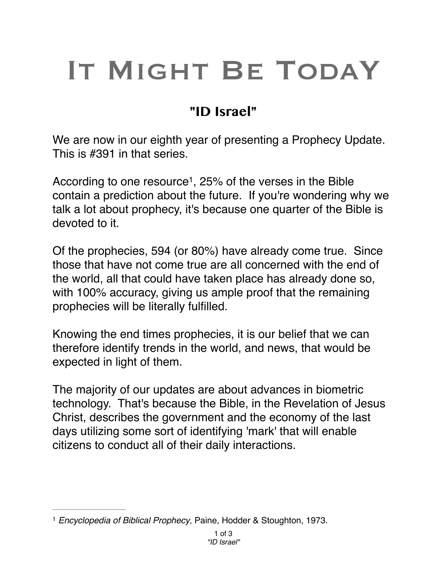## IT MIGHT BE TODAY

## **"ID Israel"**

We are now in our eighth year of presenting a Prophecy Update. This is #391 in that series.

According to one resource<sup>1</sup>, 25% of the verses in the Bible contain a prediction about the future. If you're wondering why we talk a lot about prophecy, it's because one quarter of the Bible is devoted to it.

Of the prophecies, 594 (or 80%) have already come true. Since those that have not come true are all concerned with the end of the world, all that could have taken place has already done so, with 100% accuracy, giving us ample proof that the remaining prophecies will be literally fulfilled.

Knowing the end times prophecies, it is our belief that we can therefore identify trends in the world, and news, that would be expected in light of them.

The majority of our updates are about advances in biometric technology. That's because the Bible, in the Revelation of Jesus Christ, describes the government and the economy of the last days utilizing some sort of identifying 'mark' that will enable citizens to conduct all of their daily interactions.

<sup>&</sup>lt;sup>1</sup> Encyclopedia of Biblical Prophecy, Paine, Hodder & Stoughton, 1973.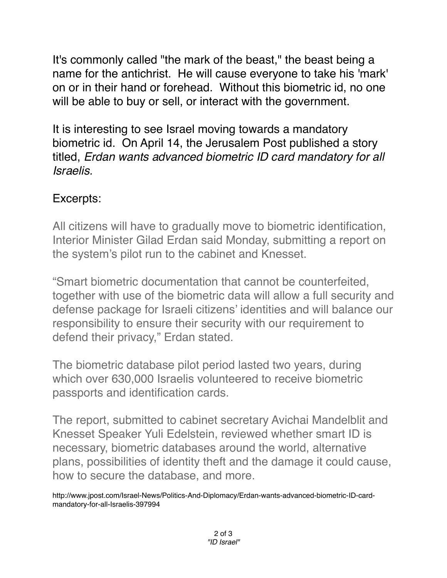It's commonly called "the mark of the beast," the beast being a name for the antichrist. He will cause everyone to take his 'mark' on or in their hand or forehead. Without this biometric id, no one will be able to buy or sell, or interact with the government.

It is interesting to see Israel moving towards a mandatory biometric id. On April 14, the Jerusalem Post published a story titled, *Erdan wants advanced biometric ID card mandatory for all Israelis.*

## Excerpts:

All citizens will have to gradually move to biometric identification, Interior Minister Gilad Erdan said Monday, submitting a report on the system's pilot run to the cabinet and Knesset.

"Smart biometric documentation that cannot be counterfeited, together with use of the biometric data will allow a full security and defense package for Israeli citizens' identities and will balance our responsibility to ensure their security with our requirement to defend their privacy," Erdan stated.

The biometric database pilot period lasted two years, during which over 630,000 Israelis volunteered to receive biometric passports and identification cards.

The report, submitted to cabinet secretary Avichai Mandelblit and Knesset Speaker Yuli Edelstein, reviewed whether smart ID is necessary, biometric databases around the world, alternative plans, possibilities of identity theft and the damage it could cause, how to secure the database, and more.

http://www.jpost.com/Israel-News/Politics-And-Diplomacy/Erdan-wants-advanced-biometric-ID-cardmandatory-for-all-Israelis-397994